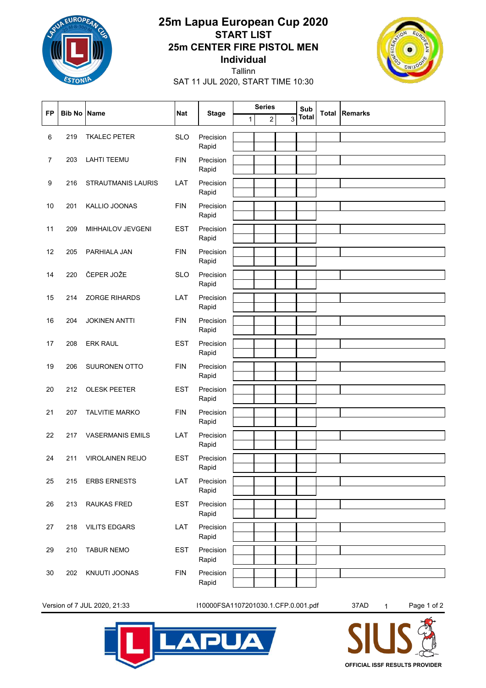

## **Individual 25m CENTER FIRE PISTOL MEN START LIST 25m Lapua European Cup 2020**



SAT 11 JUL 2020, START TIME 10:30 Tallinn

| <b>FP</b>      | <b>Bib No Name</b> |                         | <b>Nat</b> | <b>Stage</b>       | <b>Series</b> |   |   | Sub          |                      |
|----------------|--------------------|-------------------------|------------|--------------------|---------------|---|---|--------------|----------------------|
|                |                    |                         |            |                    | 1             | 2 | 3 | <b>Total</b> | <b>Total Remarks</b> |
| 6              | 219                | <b>TKALEC PETER</b>     | <b>SLO</b> | Precision          |               |   |   |              |                      |
|                |                    |                         |            | Rapid              |               |   |   |              |                      |
| $\overline{7}$ | 203                | <b>LAHTI TEEMU</b>      | <b>FIN</b> | Precision          |               |   |   |              |                      |
|                |                    |                         |            | Rapid              |               |   |   |              |                      |
| 9              | 216                | STRAUTMANIS LAURIS      | LAT        | Precision          |               |   |   |              |                      |
| 10             | 201                | KALLIO JOONAS           | <b>FIN</b> | Rapid<br>Precision |               |   |   |              |                      |
|                |                    |                         |            | Rapid              |               |   |   |              |                      |
| 11             | 209                | MIHHAILOV JEVGENI       | <b>EST</b> | Precision<br>Rapid |               |   |   |              |                      |
| 12             | 205                | PARHIALA JAN            | <b>FIN</b> | Precision          |               |   |   |              |                      |
|                |                    |                         |            | Rapid              |               |   |   |              |                      |
| 14             | 220                | ČEPER JOŽE              | <b>SLO</b> | Precision          |               |   |   |              |                      |
|                |                    |                         |            | Rapid              |               |   |   |              |                      |
| 15             | 214                | <b>ZORGE RIHARDS</b>    | LAT        | Precision<br>Rapid |               |   |   |              |                      |
| 16             | 204                | <b>JOKINEN ANTTI</b>    | <b>FIN</b> | Precision          |               |   |   |              |                      |
|                |                    |                         |            | Rapid              |               |   |   |              |                      |
| 17             | 208                | <b>ERK RAUL</b>         | <b>EST</b> | Precision          |               |   |   |              |                      |
|                |                    |                         |            | Rapid              |               |   |   |              |                      |
| 19             | 206                | SUURONEN OTTO           | <b>FIN</b> | Precision<br>Rapid |               |   |   |              |                      |
| 20             | 212                | <b>OLESK PEETER</b>     | <b>EST</b> | Precision          |               |   |   |              |                      |
|                |                    |                         |            | Rapid              |               |   |   |              |                      |
| 21             | 207                | <b>TALVITIE MARKO</b>   | <b>FIN</b> | Precision          |               |   |   |              |                      |
|                |                    |                         |            | Rapid              |               |   |   |              |                      |
| 22             | 217                | <b>VASERMANIS EMILS</b> | LAT        | Precision          |               |   |   |              |                      |
|                |                    |                         |            | Rapid              |               |   |   |              |                      |
| 24             | 211                | <b>VIROLAINEN REIJO</b> | <b>EST</b> | Precision<br>Rapid |               |   |   |              |                      |
| 25             | 215                | <b>ERBS ERNESTS</b>     | LAT        | Precision          |               |   |   |              |                      |
|                |                    |                         |            | Rapid              |               |   |   |              |                      |
| 26             | 213                | RAUKAS FRED             | <b>EST</b> | Precision          |               |   |   |              |                      |
|                |                    |                         |            | Rapid              |               |   |   |              |                      |
| 27             | 218                | <b>VILITS EDGARS</b>    | LAT        | Precision          |               |   |   |              |                      |
|                |                    |                         |            | Rapid              |               |   |   |              |                      |
| 29             | 210                | <b>TABUR NEMO</b>       | <b>EST</b> | Precision<br>Rapid |               |   |   |              |                      |
|                |                    |                         |            |                    |               |   |   |              |                      |
| 30             | 202                | KNUUTI JOONAS           | <b>FIN</b> | Precision<br>Rapid |               |   |   |              |                      |

Version of 7 JUL 2020, 21:33 I10000FSA1107201030.1.CFP.0.001.pdf 37AD 1 Page 1 of 2